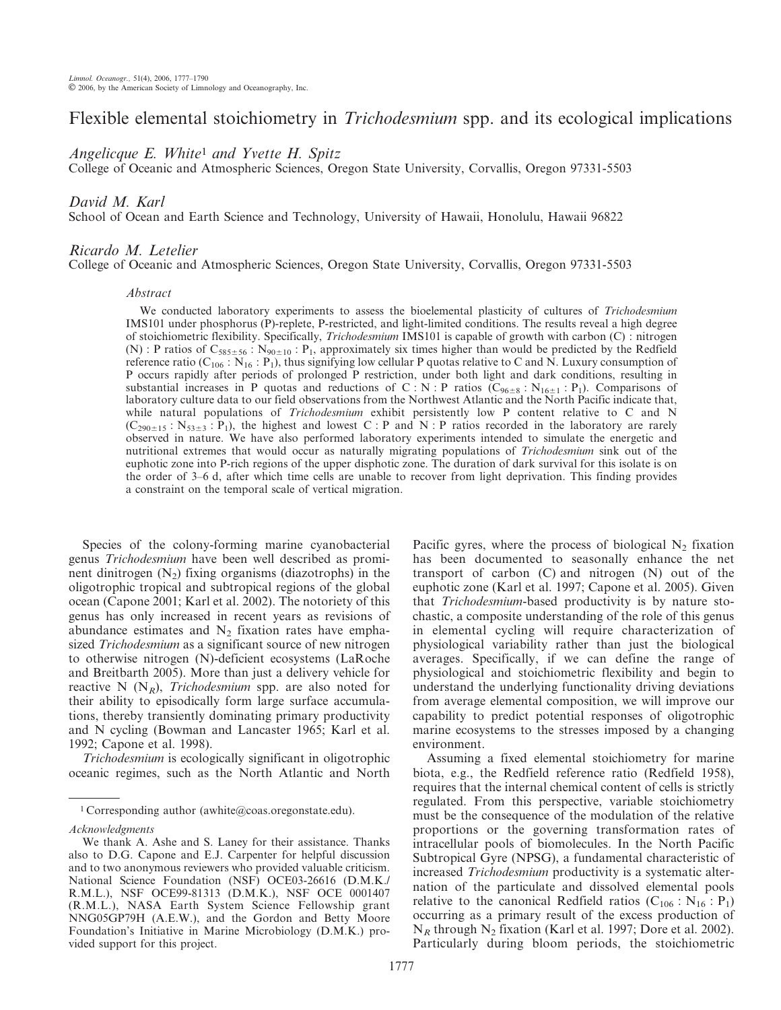# Flexible elemental stoichiometry in Trichodesmium spp. and its ecological implications

Angelicque E. White<sup>1</sup> and Yvette H. Spitz

College of Oceanic and Atmospheric Sciences, Oregon State University, Corvallis, Oregon 97331-5503

# David M. Karl

School of Ocean and Earth Science and Technology, University of Hawaii, Honolulu, Hawaii 96822

# Ricardo M. Letelier

College of Oceanic and Atmospheric Sciences, Oregon State University, Corvallis, Oregon 97331-5503

### Abstract

We conducted laboratory experiments to assess the bioelemental plasticity of cultures of Trichodesmium IMS101 under phosphorus (P)-replete, P-restricted, and light-limited conditions. The results reveal a high degree of stoichiometric flexibility. Specifically, Trichodesmium IMS101 is capable of growth with carbon (C) : nitrogen (N) : P ratios of  $C_{585\pm56}$  : N<sub>90±10</sub> : P<sub>1</sub>, approximately six times higher than would be predicted by the Redfield reference ratio ( $C_{106}$ : N<sub>16</sub>: P<sub>1</sub>), thus signifying low cellular P quotas relative to C and N. Luxury consumption of P occurs rapidly after periods of prolonged P restriction, under both light and dark conditions, resulting in substantial increases in P quotas and reductions of C : N : P ratios  $(C_{96\pm8} : N_{16\pm1} : P_1)$ . Comparisons of laboratory culture data to our field observations from the Northwest Atlantic and the North Pacific indicate that, while natural populations of *Trichodesmium* exhibit persistently low P content relative to C and N  $(C_{290\pm 15} : N_{53\pm 3} : P_1)$ , the highest and lowest C : P and N : P ratios recorded in the laboratory are rarely observed in nature. We have also performed laboratory experiments intended to simulate the energetic and nutritional extremes that would occur as naturally migrating populations of Trichodesmium sink out of the euphotic zone into P-rich regions of the upper disphotic zone. The duration of dark survival for this isolate is on the order of 3–6 d, after which time cells are unable to recover from light deprivation. This finding provides a constraint on the temporal scale of vertical migration.

Species of the colony-forming marine cyanobacterial genus Trichodesmium have been well described as prominent dinitrogen  $(N_2)$  fixing organisms (diazotrophs) in the oligotrophic tropical and subtropical regions of the global ocean (Capone 2001; Karl et al. 2002). The notoriety of this genus has only increased in recent years as revisions of abundance estimates and  $N_2$  fixation rates have emphasized Trichodesmium as a significant source of new nitrogen to otherwise nitrogen (N)-deficient ecosystems (LaRoche and Breitbarth 2005). More than just a delivery vehicle for reactive N  $(N_R)$ , Trichodesmium spp. are also noted for their ability to episodically form large surface accumulations, thereby transiently dominating primary productivity and N cycling (Bowman and Lancaster 1965; Karl et al. 1992; Capone et al. 1998).

Trichodesmium is ecologically significant in oligotrophic oceanic regimes, such as the North Atlantic and North

Pacific gyres, where the process of biological  $N_2$  fixation has been documented to seasonally enhance the net transport of carbon (C) and nitrogen (N) out of the euphotic zone (Karl et al. 1997; Capone et al. 2005). Given that Trichodesmium-based productivity is by nature stochastic, a composite understanding of the role of this genus in elemental cycling will require characterization of physiological variability rather than just the biological averages. Specifically, if we can define the range of physiological and stoichiometric flexibility and begin to understand the underlying functionality driving deviations from average elemental composition, we will improve our capability to predict potential responses of oligotrophic marine ecosystems to the stresses imposed by a changing environment.

Assuming a fixed elemental stoichiometry for marine biota, e.g., the Redfield reference ratio (Redfield 1958), requires that the internal chemical content of cells is strictly regulated. From this perspective, variable stoichiometry must be the consequence of the modulation of the relative proportions or the governing transformation rates of intracellular pools of biomolecules. In the North Pacific Subtropical Gyre (NPSG), a fundamental characteristic of increased *Trichodesmium* productivity is a systematic alternation of the particulate and dissolved elemental pools relative to the canonical Redfield ratios ( $C_{106}$ : N<sub>16</sub>: P<sub>1</sub>) occurring as a primary result of the excess production of  $N_R$  through  $N_2$  fixation (Karl et al. 1997; Dore et al. 2002). Particularly during bloom periods, the stoichiometric

<sup>1</sup> Corresponding author (awhite@coas.oregonstate.edu).

Acknowledgments

We thank A. Ashe and S. Laney for their assistance. Thanks also to D.G. Capone and E.J. Carpenter for helpful discussion and to two anonymous reviewers who provided valuable criticism. National Science Foundation (NSF) OCE03-26616 (D.M.K./ R.M.L.), NSF OCE99-81313 (D.M.K.), NSF OCE 0001407 (R.M.L.), NASA Earth System Science Fellowship grant NNG05GP79H (A.E.W.), and the Gordon and Betty Moore Foundation's Initiative in Marine Microbiology (D.M.K.) provided support for this project.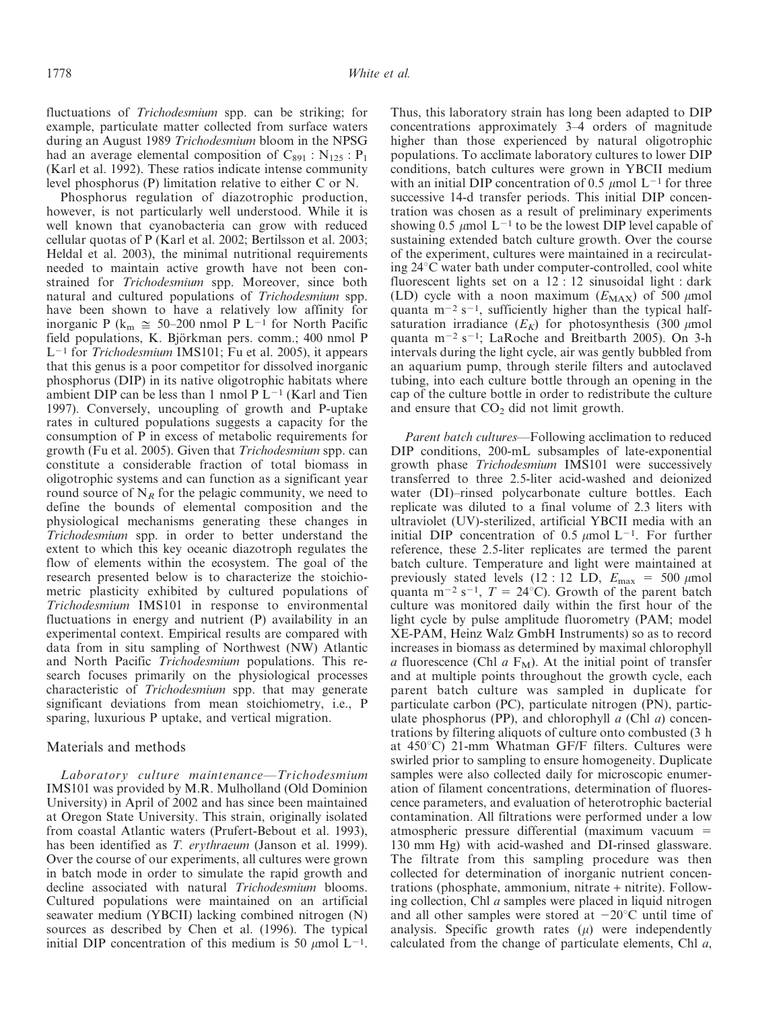fluctuations of Trichodesmium spp. can be striking; for example, particulate matter collected from surface waters during an August 1989 Trichodesmium bloom in the NPSG had an average elemental composition of  $C_{891} : N_{125} : P_1$ (Karl et al. 1992). These ratios indicate intense community level phosphorus (P) limitation relative to either C or N.

Phosphorus regulation of diazotrophic production, however, is not particularly well understood. While it is well known that cyanobacteria can grow with reduced cellular quotas of P (Karl et al. 2002; Bertilsson et al. 2003; Heldal et al. 2003), the minimal nutritional requirements needed to maintain active growth have not been constrained for Trichodesmium spp. Moreover, since both natural and cultured populations of Trichodesmium spp. have been shown to have a relatively low affinity for inorganic P ( $k_m \approx 50{\text -}200$  nmol P L<sup>-1</sup> for North Pacific field populations, K. Björkman pers. comm.; 400 nmol P  $L^{-1}$  for *Trichodesmium* IMS101; Fu et al. 2005), it appears that this genus is a poor competitor for dissolved inorganic phosphorus (DIP) in its native oligotrophic habitats where ambient DIP can be less than 1 nmol  $P L^{-1}$  (Karl and Tien 1997). Conversely, uncoupling of growth and P-uptake rates in cultured populations suggests a capacity for the consumption of P in excess of metabolic requirements for growth (Fu et al. 2005). Given that Trichodesmium spp. can constitute a considerable fraction of total biomass in oligotrophic systems and can function as a significant year round source of  $N_R$  for the pelagic community, we need to define the bounds of elemental composition and the physiological mechanisms generating these changes in Trichodesmium spp. in order to better understand the extent to which this key oceanic diazotroph regulates the flow of elements within the ecosystem. The goal of the research presented below is to characterize the stoichiometric plasticity exhibited by cultured populations of Trichodesmium IMS101 in response to environmental fluctuations in energy and nutrient (P) availability in an experimental context. Empirical results are compared with data from in situ sampling of Northwest (NW) Atlantic and North Pacific Trichodesmium populations. This research focuses primarily on the physiological processes characteristic of Trichodesmium spp. that may generate significant deviations from mean stoichiometry, i.e., P sparing, luxurious P uptake, and vertical migration.

## Materials and methods

Laboratory culture maintenance—Trichodesmium IMS101 was provided by M.R. Mulholland (Old Dominion University) in April of 2002 and has since been maintained at Oregon State University. This strain, originally isolated from coastal Atlantic waters (Prufert-Bebout et al. 1993), has been identified as *T. erythraeum* (Janson et al. 1999). Over the course of our experiments, all cultures were grown in batch mode in order to simulate the rapid growth and decline associated with natural Trichodesmium blooms. Cultured populations were maintained on an artificial seawater medium (YBCII) lacking combined nitrogen (N) sources as described by Chen et al. (1996). The typical initial DIP concentration of this medium is 50  $\mu$ mol L<sup>-1</sup>. Thus, this laboratory strain has long been adapted to DIP concentrations approximately 3–4 orders of magnitude higher than those experienced by natural oligotrophic populations. To acclimate laboratory cultures to lower DIP conditions, batch cultures were grown in YBCII medium with an initial DIP concentration of 0.5  $\mu$ mol L<sup>-1</sup> for three successive 14-d transfer periods. This initial DIP concentration was chosen as a result of preliminary experiments showing 0.5  $\mu$ mol L<sup>-1</sup> to be the lowest DIP level capable of sustaining extended batch culture growth. Over the course of the experiment, cultures were maintained in a recirculating  $24^{\circ}$ C water bath under computer-controlled, cool white fluorescent lights set on a 12 : 12 sinusoidal light : dark (LD) cycle with a noon maximum  $(E_{MAX})$  of 500  $\mu$ mol quanta  $m^{-2} s^{-1}$ , sufficiently higher than the typical halfsaturation irradiance  $(E_K)$  for photosynthesis (300  $\mu$ mol quanta  $m^{-2} s^{-1}$ ; LaRoche and Breitbarth 2005). On 3-h intervals during the light cycle, air was gently bubbled from an aquarium pump, through sterile filters and autoclaved tubing, into each culture bottle through an opening in the cap of the culture bottle in order to redistribute the culture and ensure that  $CO<sub>2</sub>$  did not limit growth.

Parent batch cultures—Following acclimation to reduced DIP conditions, 200-mL subsamples of late-exponential growth phase Trichodesmium IMS101 were successively transferred to three 2.5-liter acid-washed and deionized water (DI)–rinsed polycarbonate culture bottles. Each replicate was diluted to a final volume of 2.3 liters with ultraviolet (UV)-sterilized, artificial YBCII media with an initial DIP concentration of 0.5  $\mu$ mol L<sup>-1</sup>. For further reference, these 2.5-liter replicates are termed the parent batch culture. Temperature and light were maintained at previously stated levels (12 : 12 LD,  $E_{\text{max}} = 500 \ \mu \text{mol}$ quanta m<sup>-2</sup> s<sup>-1</sup>,  $T = 24$ °C). Growth of the parent batch culture was monitored daily within the first hour of the light cycle by pulse amplitude fluorometry (PAM; model XE-PAM, Heinz Walz GmbH Instruments) so as to record increases in biomass as determined by maximal chlorophyll a fluorescence (Chl a  $F_M$ ). At the initial point of transfer and at multiple points throughout the growth cycle, each parent batch culture was sampled in duplicate for particulate carbon (PC), particulate nitrogen (PN), particulate phosphorus (PP), and chlorophyll  $a$  (Chl  $a$ ) concentrations by filtering aliquots of culture onto combusted (3 h at  $450^{\circ}$ C) 21-mm Whatman GF/F filters. Cultures were swirled prior to sampling to ensure homogeneity. Duplicate samples were also collected daily for microscopic enumeration of filament concentrations, determination of fluorescence parameters, and evaluation of heterotrophic bacterial contamination. All filtrations were performed under a low atmospheric pressure differential (maximum vacuum 5 130 mm Hg) with acid-washed and DI-rinsed glassware. The filtrate from this sampling procedure was then collected for determination of inorganic nutrient concentrations (phosphate, ammonium, nitrate + nitrite). Following collection, Chl a samples were placed in liquid nitrogen and all other samples were stored at  $-20^{\circ}$ C until time of analysis. Specific growth rates  $(\mu)$  were independently calculated from the change of particulate elements, Chl a,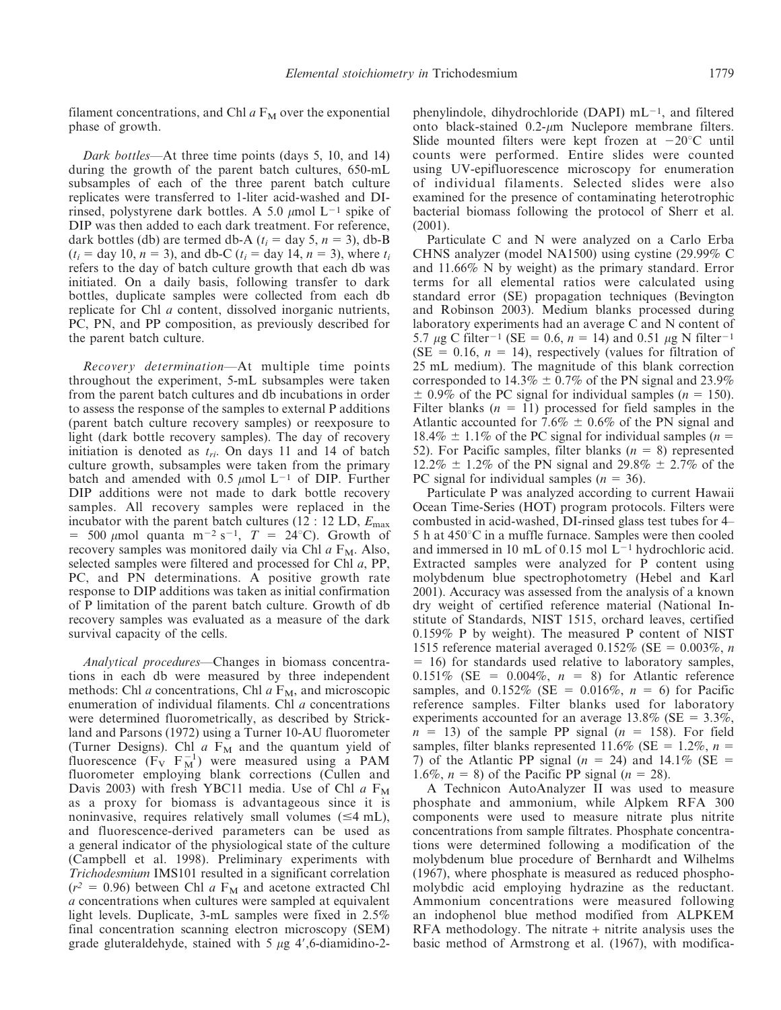filament concentrations, and Chl  $a F<sub>M</sub>$  over the exponential phase of growth.

Dark bottles—At three time points (days 5, 10, and 14) during the growth of the parent batch cultures, 650-mL subsamples of each of the three parent batch culture replicates were transferred to 1-liter acid-washed and DIrinsed, polystyrene dark bottles. A 5.0  $\mu$ mol L<sup>-1</sup> spike of DIP was then added to each dark treatment. For reference, dark bottles (db) are termed db-A ( $t_i$  = day 5, n = 3), db-B  $(t_i = day 10, n = 3)$ , and db-C  $(t_i = day 14, n = 3)$ , where  $t_i$ refers to the day of batch culture growth that each db was initiated. On a daily basis, following transfer to dark bottles, duplicate samples were collected from each db replicate for Chl a content, dissolved inorganic nutrients, PC, PN, and PP composition, as previously described for the parent batch culture.

Recovery determination—At multiple time points throughout the experiment, 5-mL subsamples were taken from the parent batch cultures and db incubations in order to assess the response of the samples to external P additions (parent batch culture recovery samples) or reexposure to light (dark bottle recovery samples). The day of recovery initiation is denoted as  $t_{ri}$ . On days 11 and 14 of batch culture growth, subsamples were taken from the primary batch and amended with 0.5  $\mu$ mol L<sup>-1</sup> of DIP. Further DIP additions were not made to dark bottle recovery samples. All recovery samples were replaced in the incubator with the parent batch cultures (12 : 12 LD,  $E_{\text{max}}$ )  $=$  500  $\mu$ mol quanta m<sup>-2</sup> s<sup>-1</sup>, T = 24<sup>o</sup>C). Growth of recovery samples was monitored daily via Chl  $a F<sub>M</sub>$ . Also, selected samples were filtered and processed for Chl a, PP, PC, and PN determinations. A positive growth rate response to DIP additions was taken as initial confirmation of P limitation of the parent batch culture. Growth of db recovery samples was evaluated as a measure of the dark survival capacity of the cells.

Analytical procedures—Changes in biomass concentrations in each db were measured by three independent methods: Chl  $a$  concentrations, Chl  $a F<sub>M</sub>$ , and microscopic enumeration of individual filaments. Chl a concentrations were determined fluorometrically, as described by Strickland and Parsons (1972) using a Turner 10-AU fluorometer (Turner Designs). Chl  $a F_M$  and the quantum yield of fluorescence  $(F_V \ F_M^{-1})$  were measured using a PAM fluorometer employing blank corrections (Cullen and Davis 2003) with fresh YBC11 media. Use of Chl  $a F<sub>M</sub>$ as a proxy for biomass is advantageous since it is noninvasive, requires relatively small volumes  $(\leq 4 \text{ mL})$ , and fluorescence-derived parameters can be used as a general indicator of the physiological state of the culture (Campbell et al. 1998). Preliminary experiments with Trichodesmium IMS101 resulted in a significant correlation  $(r^2 = 0.96)$  between Chl a F<sub>M</sub> and acetone extracted Chl a concentrations when cultures were sampled at equivalent light levels. Duplicate, 3-mL samples were fixed in 2.5% final concentration scanning electron microscopy (SEM) grade gluteraldehyde, stained with  $5 \mu g$  4', 6-diamidino-2phenylindole, dihydrochloride (DAPI)  $mL^{-1}$ , and filtered onto black-stained  $0.2$ - $\mu$ m Nuclepore membrane filters. Slide mounted filters were kept frozen at  $-20^{\circ}$ C until counts were performed. Entire slides were counted using UV-epifluorescence microscopy for enumeration of individual filaments. Selected slides were also examined for the presence of contaminating heterotrophic bacterial biomass following the protocol of Sherr et al. (2001).

Particulate C and N were analyzed on a Carlo Erba CHNS analyzer (model NA1500) using cystine (29.99% C and 11.66% N by weight) as the primary standard. Error terms for all elemental ratios were calculated using standard error (SE) propagation techniques (Bevington and Robinson 2003). Medium blanks processed during laboratory experiments had an average C and N content of 5.7  $\mu$ g C filter<sup>-1</sup> (SE = 0.6, n = 14) and 0.51  $\mu$ g N filter<sup>-1</sup>  $(SE = 0.16, n = 14)$ , respectively (values for filtration of 25 mL medium). The magnitude of this blank correction corresponded to 14.3%  $\pm$  0.7% of the PN signal and 23.9%  $\pm$  0.9% of the PC signal for individual samples (n = 150). Filter blanks  $(n = 11)$  processed for field samples in the Atlantic accounted for 7.6%  $\pm$  0.6% of the PN signal and  $18.4\% \pm 1.1\%$  of the PC signal for individual samples ( $n =$ 52). For Pacific samples, filter blanks  $(n = 8)$  represented  $12.2\% \pm 1.2\%$  of the PN signal and  $29.8\% \pm 2.7\%$  of the PC signal for individual samples ( $n = 36$ ).

Particulate P was analyzed according to current Hawaii Ocean Time-Series (HOT) program protocols. Filters were combusted in acid-washed, DI-rinsed glass test tubes for 4– 5 h at  $450^{\circ}$ C in a muffle furnace. Samples were then cooled and immersed in 10 mL of 0.15 mol  $L^{-1}$  hydrochloric acid. Extracted samples were analyzed for P content using molybdenum blue spectrophotometry (Hebel and Karl 2001). Accuracy was assessed from the analysis of a known dry weight of certified reference material (National Institute of Standards, NIST 1515, orchard leaves, certified 0.159% P by weight). The measured P content of NIST 1515 reference material averaged 0.152% (SE =  $0.003\%$ , n  $= 16$ ) for standards used relative to laboratory samples,  $0.151\%$  (SE = 0.004\%, n = 8) for Atlantic reference samples, and  $0.152\%$  (SE = 0.016%,  $n = 6$ ) for Pacific reference samples. Filter blanks used for laboratory experiments accounted for an average  $13.8\%$  (SE =  $3.3\%$ ,  $n = 13$ ) of the sample PP signal ( $n = 158$ ). For field samples, filter blanks represented 11.6% (SE = 1.2%,  $n =$ 7) of the Atlantic PP signal ( $n = 24$ ) and 14.1% (SE = 1.6%,  $n = 8$ ) of the Pacific PP signal ( $n = 28$ ).

A Technicon AutoAnalyzer II was used to measure phosphate and ammonium, while Alpkem RFA 300 components were used to measure nitrate plus nitrite concentrations from sample filtrates. Phosphate concentrations were determined following a modification of the molybdenum blue procedure of Bernhardt and Wilhelms (1967), where phosphate is measured as reduced phosphomolybdic acid employing hydrazine as the reductant. Ammonium concentrations were measured following an indophenol blue method modified from ALPKEM RFA methodology. The nitrate + nitrite analysis uses the basic method of Armstrong et al. (1967), with modifica-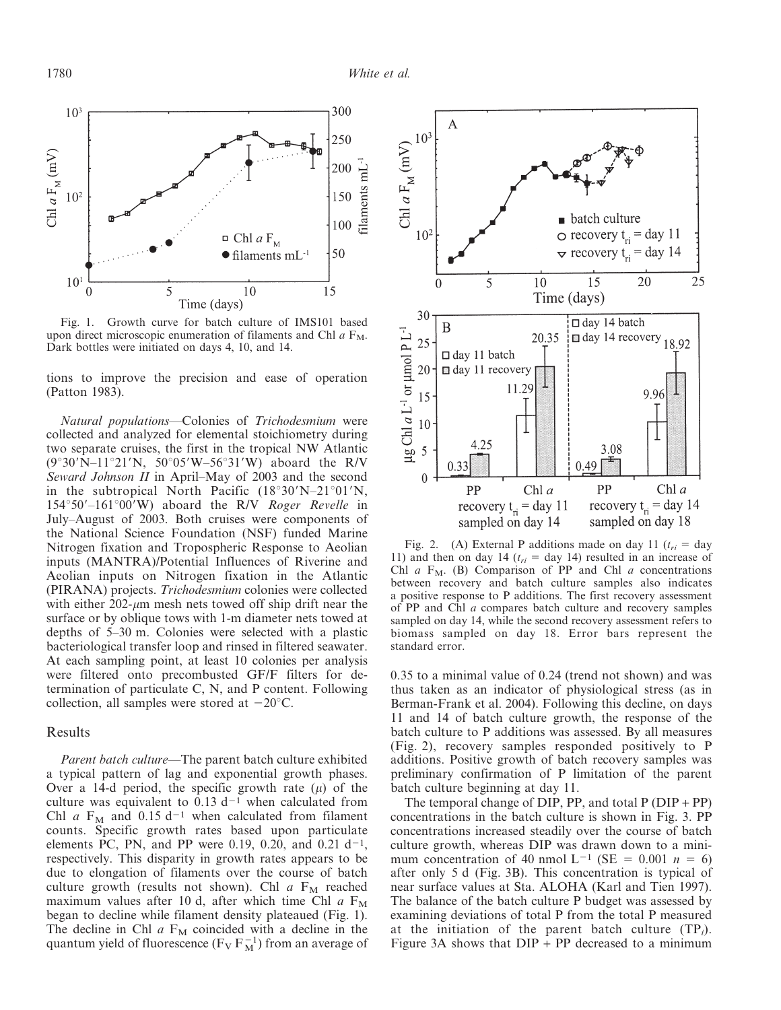

Fig. 1. Growth curve for batch culture of IMS101 based upon direct microscopic enumeration of filaments and Chl  $a F<sub>M</sub>$ . Dark bottles were initiated on days 4, 10, and 14.

tions to improve the precision and ease of operation (Patton 1983).

Natural populations—Colonies of Trichodesmium were collected and analyzed for elemental stoichiometry during two separate cruises, the first in the tropical NW Atlantic  $(9°30'N-11°21'N, 50°05'W-56°31'W)$  aboard the R/V Seward Johnson II in April–May of 2003 and the second in the subtropical North Pacific  $(18°30'N-21°01'N,$  $154^{\circ}50'$ –161 $^{\circ}00'$ W) aboard the R/V Roger Revelle in July–August of 2003. Both cruises were components of the National Science Foundation (NSF) funded Marine Nitrogen fixation and Tropospheric Response to Aeolian inputs (MANTRA)/Potential Influences of Riverine and Aeolian inputs on Nitrogen fixation in the Atlantic (PIRANA) projects. Trichodesmium colonies were collected with either  $202$ - $\mu$ m mesh nets towed off ship drift near the surface or by oblique tows with 1-m diameter nets towed at depths of 5–30 m. Colonies were selected with a plastic bacteriological transfer loop and rinsed in filtered seawater. At each sampling point, at least 10 colonies per analysis were filtered onto precombusted GF/F filters for determination of particulate C, N, and P content. Following collection, all samples were stored at  $-20^{\circ}$ C.

### Results

Parent batch culture—The parent batch culture exhibited a typical pattern of lag and exponential growth phases. Over a 14-d period, the specific growth rate  $(\mu)$  of the culture was equivalent to  $0.13$  d<sup>-1</sup> when calculated from Chl a F<sub>M</sub> and 0.15 d<sup>-1</sup> when calculated from filament counts. Specific growth rates based upon particulate elements PC, PN, and PP were 0.19, 0.20, and 0.21 d<sup>-1</sup>, respectively. This disparity in growth rates appears to be due to elongation of filaments over the course of batch culture growth (results not shown). Chl  $a F<sub>M</sub>$  reached maximum values after 10 d, after which time Chl a  $F_M$ began to decline while filament density plateaued (Fig. 1). The decline in Chl  $a F_M$  coincided with a decline in the quantum yield of fluorescence ( $F_V F_M^{-1}$ ) from an average of



Fig. 2. (A) External P additions made on day 11 ( $t_{ri}$  = day 11) and then on day 14 ( $t_{ri}$  = day 14) resulted in an increase of Chl  $a$  F<sub>M</sub>. (B) Comparison of PP and Chl  $a$  concentrations between recovery and batch culture samples also indicates a positive response to P additions. The first recovery assessment of PP and Chl a compares batch culture and recovery samples sampled on day 14, while the second recovery assessment refers to biomass sampled on day 18. Error bars represent the standard error.

0.35 to a minimal value of 0.24 (trend not shown) and was thus taken as an indicator of physiological stress (as in Berman-Frank et al. 2004). Following this decline, on days 11 and 14 of batch culture growth, the response of the batch culture to P additions was assessed. By all measures (Fig. 2), recovery samples responded positively to P additions. Positive growth of batch recovery samples was preliminary confirmation of P limitation of the parent batch culture beginning at day 11.

The temporal change of DIP, PP, and total  $P(DIP + PP)$ concentrations in the batch culture is shown in Fig. 3. PP concentrations increased steadily over the course of batch culture growth, whereas DIP was drawn down to a minimum concentration of 40 nmol L<sup>-1</sup> (SE = 0.001  $n = 6$ ) after only 5 d (Fig. 3B). This concentration is typical of near surface values at Sta. ALOHA (Karl and Tien 1997). The balance of the batch culture P budget was assessed by examining deviations of total P from the total P measured at the initiation of the parent batch culture  $(TP_i)$ . Figure 3A shows that  $DIP + PP$  decreased to a minimum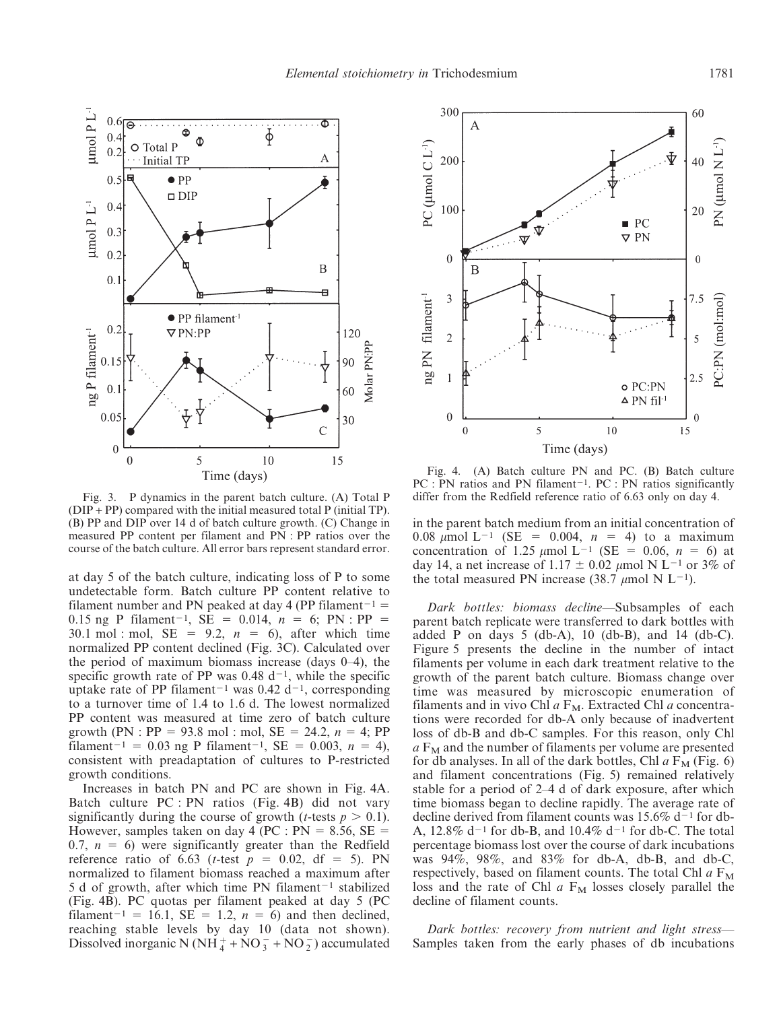

Fig. 3. P dynamics in the parent batch culture. (A) Total P (DIP + PP) compared with the initial measured total P (initial TP). (B) PP and DIP over 14 d of batch culture growth. (C) Change in measured PP content per filament and PN : PP ratios over the course of the batch culture. All error bars represent standard error.

at day 5 of the batch culture, indicating loss of P to some undetectable form. Batch culture PP content relative to filament number and PN peaked at day 4 (PP filament<sup>-1</sup> = 0.15 ng P filament<sup>-1</sup>, SE = 0.014,  $n = 6$ ; PN : PP = 30.1 mol : mol,  $SE = 9.2$ ,  $n = 6$ ), after which time normalized PP content declined (Fig. 3C). Calculated over the period of maximum biomass increase (days 0–4), the specific growth rate of PP was  $0.48$  d<sup>-1</sup>, while the specific uptake rate of PP filament<sup>-1</sup> was 0.42 d<sup>-1</sup>, corresponding to a turnover time of 1.4 to 1.6 d. The lowest normalized PP content was measured at time zero of batch culture growth (PN : PP = 93.8 mol : mol, SE = 24.2,  $n = 4$ ; PP filament<sup>-1</sup> = 0.03 ng P filament<sup>-1</sup>, SE = 0.003, n = 4), consistent with preadaptation of cultures to P-restricted growth conditions.

Increases in batch PN and PC are shown in Fig. 4A. Batch culture PC : PN ratios (Fig. 4B) did not vary significantly during the course of growth (*t*-tests  $p > 0.1$ ). However, samples taken on day 4 (PC : PN = 8.56, SE = 0.7,  $n = 6$ ) were significantly greater than the Redfield reference ratio of 6.63 (*t*-test  $p = 0.02$ , df = 5). PN normalized to filament biomass reached a maximum after 5 d of growth, after which time PN filament<sup> $-1$ </sup> stabilized (Fig. 4B). PC quotas per filament peaked at day 5 (PC filament<sup>-1</sup> = 16.1, SE = 1.2,  $n = 6$ ) and then declined, reaching stable levels by day 10 (data not shown). Dissolved inorganic N (NH<sup>+</sup><sub>4</sub> + NO<sub>2</sub> + NO<sub>2</sub>) accumulated



Fig. 4. (A) Batch culture PN and PC. (B) Batch culture  $PC: PN$  ratios and PN filament<sup>-1</sup>. PC : PN ratios significantly differ from the Redfield reference ratio of 6.63 only on day 4.

in the parent batch medium from an initial concentration of 0.08  $\mu$ mol L<sup>-1</sup> (SE = 0.004, n = 4) to a maximum concentration of 1.25  $\mu$ mol L<sup>-1</sup> (SE = 0.06, n = 6) at day 14, a net increase of 1.17  $\pm$  0.02 µmol N L<sup>-1</sup> or 3% of the total measured PN increase (38.7  $\mu$ mol N L<sup>-1</sup>).

Dark bottles: biomass decline—Subsamples of each parent batch replicate were transferred to dark bottles with added P on days  $5$  (db-A),  $10$  (db-B), and  $14$  (db-C). Figure 5 presents the decline in the number of intact filaments per volume in each dark treatment relative to the growth of the parent batch culture. Biomass change over time was measured by microscopic enumeration of filaments and in vivo Chl  $a F<sub>M</sub>$ . Extracted Chl  $a$  concentrations were recorded for db-A only because of inadvertent loss of db-B and db-C samples. For this reason, only Chl  $a F<sub>M</sub>$  and the number of filaments per volume are presented for db analyses. In all of the dark bottles, Chl  $a F<sub>M</sub>$  (Fig. 6) and filament concentrations (Fig. 5) remained relatively stable for a period of 2–4 d of dark exposure, after which time biomass began to decline rapidly. The average rate of decline derived from filament counts was  $15.6\%$  d<sup>-1</sup> for db-A,  $12.8\%$  d<sup>-1</sup> for db-B, and  $10.4\%$  d<sup>-1</sup> for db-C. The total percentage biomass lost over the course of dark incubations was 94%, 98%, and 83% for db-A, db-B, and db-C, respectively, based on filament counts. The total Chl  $a F_M$ loss and the rate of Chl  $a F<sub>M</sub>$  losses closely parallel the decline of filament counts.

Dark bottles: recovery from nutrient and light stress-Samples taken from the early phases of db incubations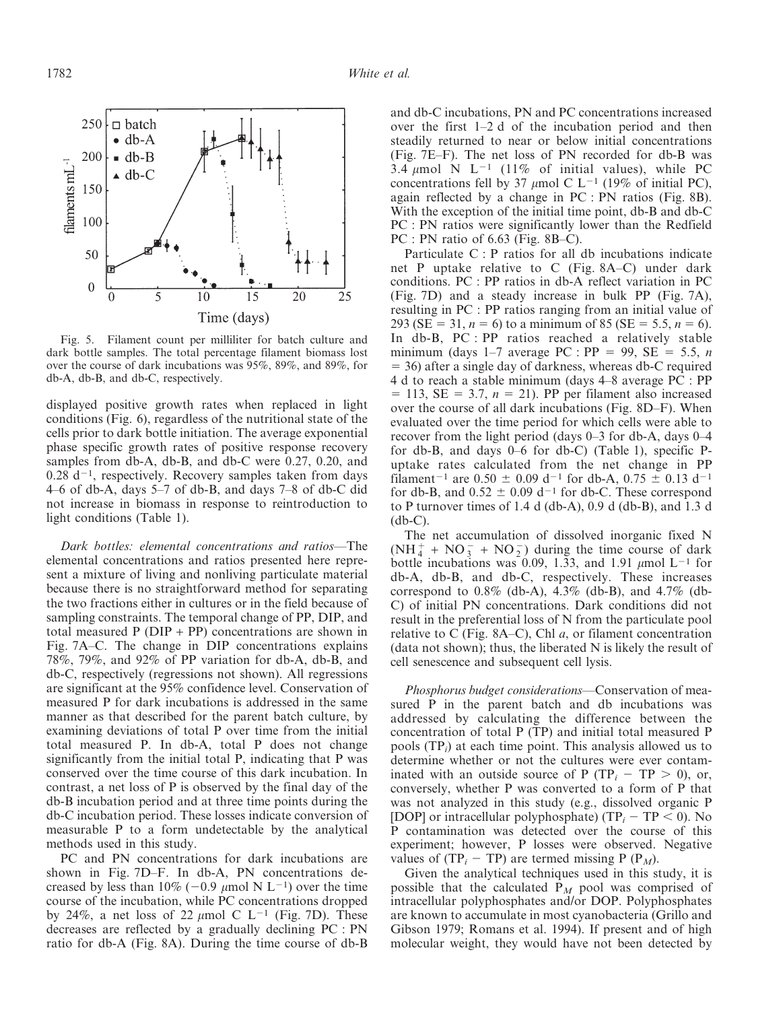

displayed positive growth rates when replaced in light conditions (Fig. 6), regardless of the nutritional state of the cells prior to dark bottle initiation. The average exponential phase specific growth rates of positive response recovery samples from db-A, db-B, and db-C were 0.27, 0.20, and  $0.28$  d<sup>-1</sup>, respectively. Recovery samples taken from days 4–6 of db-A, days 5–7 of db-B, and days 7–8 of db-C did not increase in biomass in response to reintroduction to light conditions (Table 1).

Dark bottles: elemental concentrations and ratios—The elemental concentrations and ratios presented here represent a mixture of living and nonliving particulate material because there is no straightforward method for separating the two fractions either in cultures or in the field because of sampling constraints. The temporal change of PP, DIP, and total measured  $P(DIP + PP)$  concentrations are shown in Fig. 7A–C. The change in DIP concentrations explains 78%, 79%, and 92% of PP variation for db-A, db-B, and db-C, respectively (regressions not shown). All regressions are significant at the 95% confidence level. Conservation of measured P for dark incubations is addressed in the same manner as that described for the parent batch culture, by examining deviations of total P over time from the initial total measured P. In db-A, total P does not change significantly from the initial total P, indicating that P was conserved over the time course of this dark incubation. In contrast, a net loss of P is observed by the final day of the db-B incubation period and at three time points during the db-C incubation period. These losses indicate conversion of measurable P to a form undetectable by the analytical methods used in this study.

PC and PN concentrations for dark incubations are shown in Fig. 7D–F. In db-A, PN concentrations decreased by less than 10% (-0.9  $\mu$ mol N L<sup>-1</sup>) over the time course of the incubation, while PC concentrations dropped by 24%, a net loss of 22  $\mu$ mol C L<sup>-1</sup> (Fig. 7D). These decreases are reflected by a gradually declining PC : PN ratio for db-A (Fig. 8A). During the time course of db-B

and db-C incubations, PN and PC concentrations increased over the first 1–2 d of the incubation period and then steadily returned to near or below initial concentrations (Fig. 7E–F). The net loss of PN recorded for db-B was 3.4  $\mu$ mol N L<sup>-1</sup> (11% of initial values), while PC concentrations fell by 37  $\mu$ mol C L<sup>-1</sup> (19% of initial PC), again reflected by a change in PC : PN ratios (Fig. 8B). With the exception of the initial time point, db-B and db-C PC : PN ratios were significantly lower than the Redfield PC : PN ratio of 6.63 (Fig. 8B–C).

Particulate C : P ratios for all db incubations indicate net P uptake relative to C (Fig. 8A–C) under dark conditions. PC : PP ratios in db-A reflect variation in PC (Fig. 7D) and a steady increase in bulk PP (Fig. 7A), resulting in PC : PP ratios ranging from an initial value of 293 (SE = 31,  $n = 6$ ) to a minimum of 85 (SE = 5.5,  $n = 6$ ). In db-B, PC : PP ratios reached a relatively stable minimum (days 1–7 average PC : PP = 99, SE = 5.5, n  $=$  36) after a single day of darkness, whereas db-C required 4 d to reach a stable minimum (days 4–8 average PC : PP  $= 113$ , SE = 3.7,  $n = 21$ ). PP per filament also increased over the course of all dark incubations (Fig. 8D–F). When evaluated over the time period for which cells were able to recover from the light period (days 0–3 for db-A, days 0–4 for db-B, and days 0–6 for db-C) (Table 1), specific Puptake rates calculated from the net change in PP filament<sup>-1</sup> are 0.50  $\pm$  0.09 d<sup>-1</sup> for db-A, 0.75  $\pm$  0.13 d<sup>-1</sup> for db-B, and  $0.52 \pm 0.09$  d<sup>-1</sup> for db-C. These correspond to P turnover times of 1.4 d (db-A), 0.9 d (db-B), and 1.3 d  $(db-C).$ 

The net accumulation of dissolved inorganic fixed N  $(NH_4^+ + NO_3^- + NO_2^-)$  during the time course of dark bottle incubations was 0.09, 1.33, and 1.91  $\mu$ mol L<sup>-1</sup> for db-A, db-B, and db-C, respectively. These increases correspond to  $0.8\%$  (db-A),  $4.3\%$  (db-B), and  $4.7\%$  (db-C) of initial PN concentrations. Dark conditions did not result in the preferential loss of N from the particulate pool relative to C (Fig. 8A–C), Chl  $a$ , or filament concentration (data not shown); thus, the liberated N is likely the result of cell senescence and subsequent cell lysis.

Phosphorus budget considerations—Conservation of measured P in the parent batch and db incubations was addressed by calculating the difference between the concentration of total P (TP) and initial total measured P pools  $(TP_i)$  at each time point. This analysis allowed us to determine whether or not the cultures were ever contaminated with an outside source of P ( $TP_i - TP > 0$ ), or, conversely, whether P was converted to a form of P that was not analyzed in this study (e.g., dissolved organic P [DOP] or intracellular polyphosphate) (TP<sub>i</sub> – TP  $<$  0). No P contamination was detected over the course of this experiment; however, P losses were observed. Negative values of  $(TP_i - TP)$  are termed missing P (P<sub>M</sub>).

Given the analytical techniques used in this study, it is possible that the calculated  $\overline{P}_M$  pool was comprised of intracellular polyphosphates and/or DOP. Polyphosphates are known to accumulate in most cyanobacteria (Grillo and Gibson 1979; Romans et al. 1994). If present and of high molecular weight, they would have not been detected by

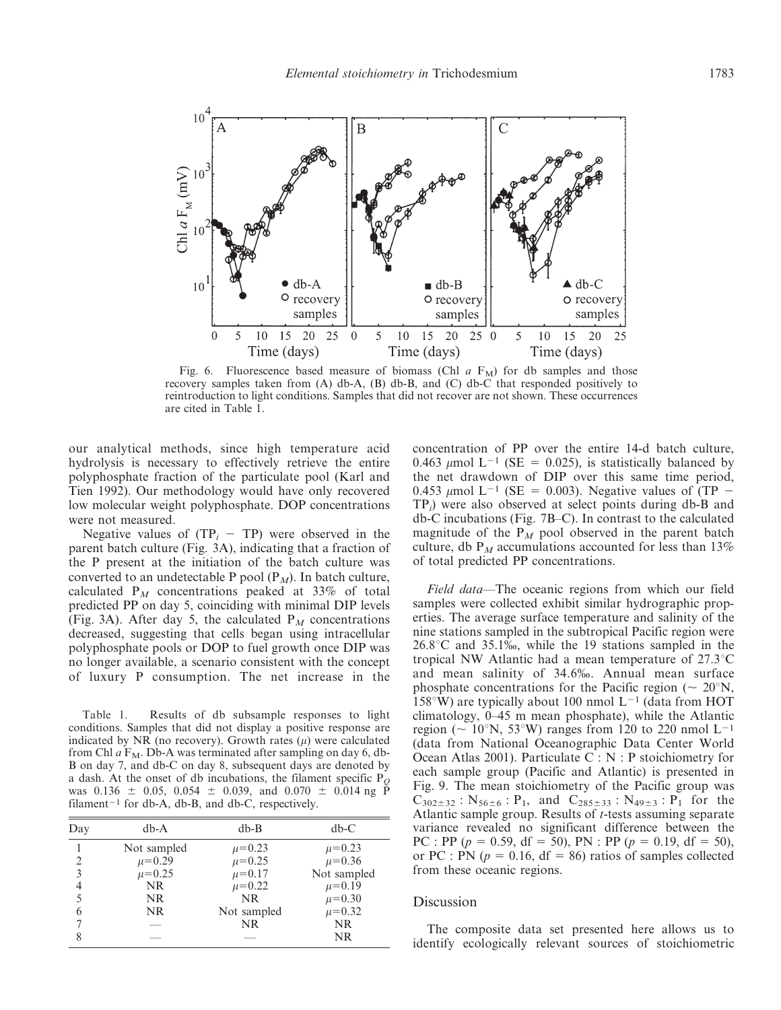

Fig. 6. Fluorescence based measure of biomass (Chl  $a$  F<sub>M</sub>) for db samples and those recovery samples taken from (A) db-A, (B) db-B, and (C) db-C that responded positively to reintroduction to light conditions. Samples that did not recover are not shown. These occurrences are cited in Table 1.

our analytical methods, since high temperature acid hydrolysis is necessary to effectively retrieve the entire polyphosphate fraction of the particulate pool (Karl and Tien 1992). Our methodology would have only recovered low molecular weight polyphosphate. DOP concentrations were not measured.

Negative values of  $(TP_i - TP)$  were observed in the parent batch culture (Fig. 3A), indicating that a fraction of the P present at the initiation of the batch culture was converted to an undetectable P pool  $(P_M)$ . In batch culture, calculated  $P_M$  concentrations peaked at 33% of total predicted PP on day 5, coinciding with minimal DIP levels (Fig. 3A). After day 5, the calculated  $P_M$  concentrations decreased, suggesting that cells began using intracellular polyphosphate pools or DOP to fuel growth once DIP was no longer available, a scenario consistent with the concept of luxury P consumption. The net increase in the

Table 1. Results of db subsample responses to light conditions. Samples that did not display a positive response are indicated by NR (no recovery). Growth rates  $(\mu)$  were calculated from Chl  $a F<sub>M</sub>$ . Db-A was terminated after sampling on day 6, db-B on day 7, and db-C on day 8, subsequent days are denoted by a dash. At the onset of db incubations, the filament specific  $P_{Q}$ was 0.136  $\pm$  0.05, 0.054  $\pm$  0.039, and 0.070  $\pm$  0.014 ng  $\overline{P}$ filament<sup> $-1$ </sup> for db-A, db-B, and db-C, respectively.

| Day | $db - A$     | $db - B$     | $db - C$     |
|-----|--------------|--------------|--------------|
|     | Not sampled  | $\mu = 0.23$ | $\mu = 0.23$ |
| 2   | $\mu = 0.29$ | $\mu = 0.25$ | $\mu = 0.36$ |
| 3   | $\mu = 0.25$ | $\mu = 0.17$ | Not sampled  |
| 4   | NR.          | $\mu = 0.22$ | $\mu = 0.19$ |
| 5   | NR.          | NR           | $\mu = 0.30$ |
| 6   | NR           | Not sampled  | $\mu = 0.32$ |
| 7   |              | <b>NR</b>    | NR           |
| 8   |              |              | <b>NR</b>    |

concentration of PP over the entire 14-d batch culture, 0.463  $\mu$ mol L<sup>-1</sup> (SE = 0.025), is statistically balanced by the net drawdown of DIP over this same time period, 0.453  $\mu$ mol L<sup>-1</sup> (SE = 0.003). Negative values of (TP - $TP_i$ ) were also observed at select points during db-B and db-C incubations (Fig. 7B–C). In contrast to the calculated magnitude of the  $P_M$  pool observed in the parent batch culture, db  $P_M$  accumulations accounted for less than 13% of total predicted PP concentrations.

Field data—The oceanic regions from which our field samples were collected exhibit similar hydrographic properties. The average surface temperature and salinity of the nine stations sampled in the subtropical Pacific region were  $26.8^{\circ}$ C and 35.1‰, while the 19 stations sampled in the tropical NW Atlantic had a mean temperature of  $27.3^{\circ}$ C and mean salinity of 34.6%. Annual mean surface phosphate concentrations for the Pacific region ( $\sim 20^{\circ}$ N, 158°W) are typically about 100 nmol  $L^{-1}$  (data from HOT climatology, 0–45 m mean phosphate), while the Atlantic region ( $\sim 10^{\circ}$ N, 53°W) ranges from 120 to 220 nmol L<sup>-1</sup> (data from National Oceanographic Data Center World Ocean Atlas 2001). Particulate  $C : N : P$  stoichiometry for each sample group (Pacific and Atlantic) is presented in Fig. 9. The mean stoichiometry of the Pacific group was  $C_{302\pm32}$ :  $N_{56\pm6}$ :  $P_1$ , and  $C_{285\pm33}$ :  $N_{49\pm3}$ :  $P_1$  for the Atlantic sample group. Results of *t*-tests assuming separate variance revealed no significant difference between the PC : PP ( $p = 0.59$ , df = 50), PN : PP ( $p = 0.19$ , df = 50), or PC : PN ( $p = 0.16$ , df = 86) ratios of samples collected from these oceanic regions.

### Discussion

The composite data set presented here allows us to identify ecologically relevant sources of stoichiometric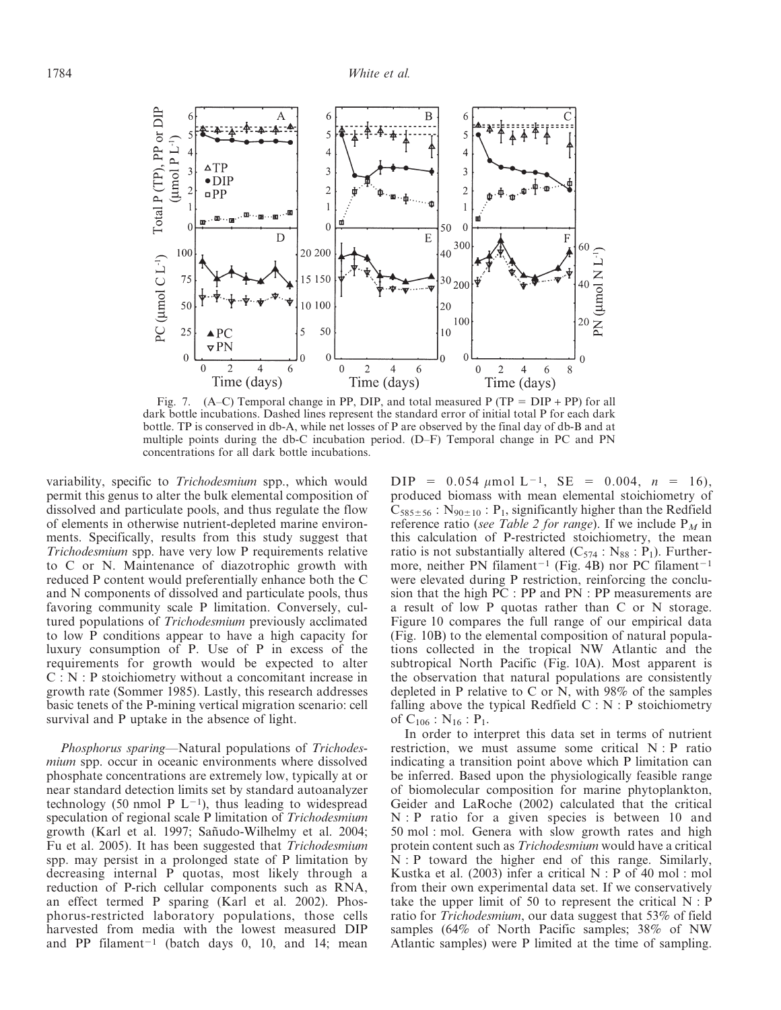

Fig. 7. (A–C) Temporal change in PP, DIP, and total measured P ( $TP = DIP + PP$ ) for all dark bottle incubations. Dashed lines represent the standard error of initial total P for each dark bottle. TP is conserved in db-A, while net losses of P are observed by the final day of db-B and at multiple points during the db-C incubation period. (D–F) Temporal change in PC and PN concentrations for all dark bottle incubations.

variability, specific to Trichodesmium spp., which would permit this genus to alter the bulk elemental composition of dissolved and particulate pools, and thus regulate the flow of elements in otherwise nutrient-depleted marine environments. Specifically, results from this study suggest that Trichodesmium spp. have very low P requirements relative to C or N. Maintenance of diazotrophic growth with reduced P content would preferentially enhance both the C and N components of dissolved and particulate pools, thus favoring community scale P limitation. Conversely, cultured populations of Trichodesmium previously acclimated to low P conditions appear to have a high capacity for luxury consumption of P. Use of P in excess of the requirements for growth would be expected to alter C : N : P stoichiometry without a concomitant increase in growth rate (Sommer 1985). Lastly, this research addresses basic tenets of the P-mining vertical migration scenario: cell survival and P uptake in the absence of light.

Phosphorus sparing—Natural populations of Trichodesmium spp. occur in oceanic environments where dissolved phosphate concentrations are extremely low, typically at or near standard detection limits set by standard autoanalyzer technology (50 nmol P  $L^{-1}$ ), thus leading to widespread speculation of regional scale P limitation of *Trichodesmium* growth (Karl et al. 1997; Sañudo-Wilhelmy et al. 2004; Fu et al. 2005). It has been suggested that Trichodesmium spp. may persist in a prolonged state of P limitation by decreasing internal P quotas, most likely through a reduction of P-rich cellular components such as RNA, an effect termed P sparing (Karl et al. 2002). Phosphorus-restricted laboratory populations, those cells harvested from media with the lowest measured DIP and PP filament<sup>-1</sup> (batch days 0, 10, and 14; mean

DIP =  $0.054 \mu \text{mol L}^{-1}$ , SE =  $0.004$ ,  $n = 16$ ), produced biomass with mean elemental stoichiometry of  $\rm{C}_{\rm{{585\pm56}}}$  :  $\rm{N}_{\rm{{90\pm10}}}$  :  $\rm{P}_{\rm{1}},$  significantly higher than the Redfield reference ratio (see Table 2 for range). If we include  $P_M$  in this calculation of P-restricted stoichiometry, the mean ratio is not substantially altered  $(C_{574} : N_{88} : P_1)$ . Furthermore, neither PN filament<sup>-1</sup> (Fig. 4B) nor PC filament<sup>-1</sup> were elevated during P restriction, reinforcing the conclusion that the high PC : PP and PN : PP measurements are a result of low P quotas rather than C or N storage. Figure 10 compares the full range of our empirical data (Fig. 10B) to the elemental composition of natural populations collected in the tropical NW Atlantic and the subtropical North Pacific (Fig. 10A). Most apparent is the observation that natural populations are consistently depleted in P relative to C or N, with 98% of the samples falling above the typical Redfield  $C : N : P$  stoichiometry of  $C_{106}$  : N<sub>16</sub> : P<sub>1</sub>.

In order to interpret this data set in terms of nutrient restriction, we must assume some critical N : P ratio indicating a transition point above which P limitation can be inferred. Based upon the physiologically feasible range of biomolecular composition for marine phytoplankton, Geider and LaRoche (2002) calculated that the critical N : P ratio for a given species is between 10 and 50 mol : mol. Genera with slow growth rates and high protein content such as Trichodesmium would have a critical N : P toward the higher end of this range. Similarly, Kustka et al. (2003) infer a critical N : P of 40 mol : mol from their own experimental data set. If we conservatively take the upper limit of 50 to represent the critical  $N : P$ ratio for Trichodesmium, our data suggest that 53% of field samples (64% of North Pacific samples; 38% of NW Atlantic samples) were P limited at the time of sampling.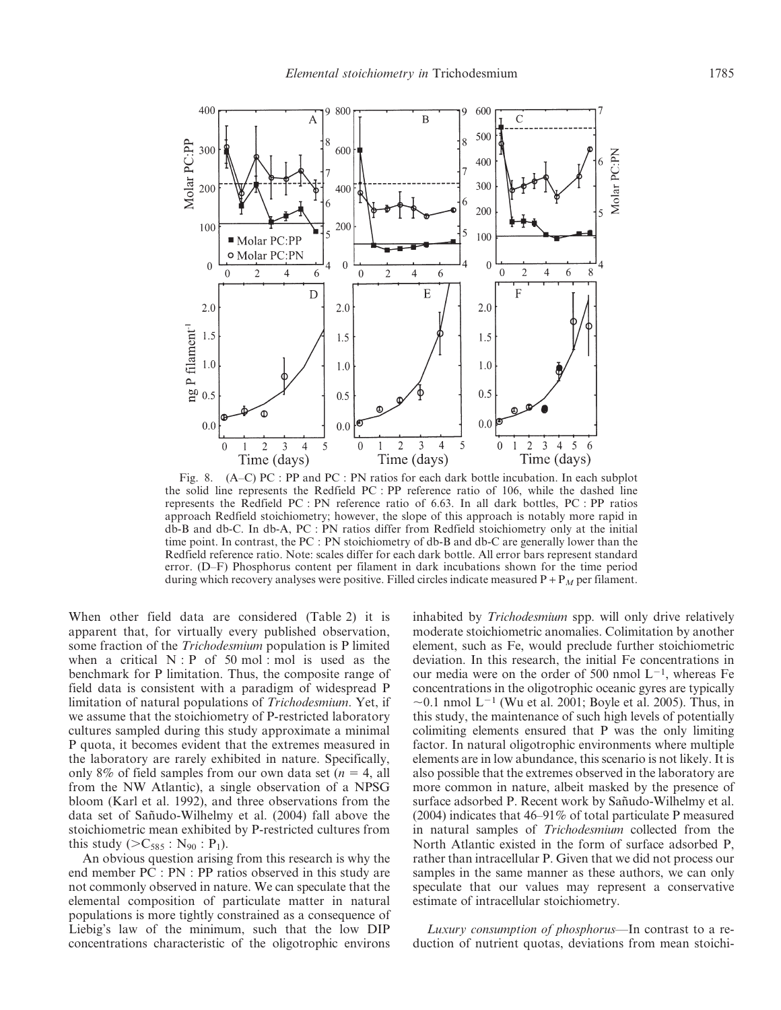

Fig. 8. (A–C) PC : PP and PC : PN ratios for each dark bottle incubation. In each subplot the solid line represents the Redfield PC : PP reference ratio of 106, while the dashed line represents the Redfield PC : PN reference ratio of 6.63. In all dark bottles, PC : PP ratios approach Redfield stoichiometry; however, the slope of this approach is notably more rapid in db-B and db-C. In db-A, PC : PN ratios differ from Redfield stoichiometry only at the initial time point. In contrast, the PC : PN stoichiometry of db-B and db-C are generally lower than the Redfield reference ratio. Note: scales differ for each dark bottle. All error bars represent standard error. (D–F) Phosphorus content per filament in dark incubations shown for the time period during which recovery analyses were positive. Filled circles indicate measured  $P + P<sub>M</sub>$  per filament.

When other field data are considered (Table 2) it is apparent that, for virtually every published observation, some fraction of the *Trichodesmium* population is P limited when a critical  $N : P$  of 50 mol : mol is used as the benchmark for P limitation. Thus, the composite range of field data is consistent with a paradigm of widespread P limitation of natural populations of Trichodesmium. Yet, if we assume that the stoichiometry of P-restricted laboratory cultures sampled during this study approximate a minimal P quota, it becomes evident that the extremes measured in the laboratory are rarely exhibited in nature. Specifically, only 8% of field samples from our own data set  $(n = 4, all)$ from the NW Atlantic), a single observation of a NPSG bloom (Karl et al. 1992), and three observations from the data set of Sañudo-Wilhelmy et al. (2004) fall above the stoichiometric mean exhibited by P-restricted cultures from this study ( $>C_{585}$  : N<sub>90</sub> : P<sub>1</sub>).

An obvious question arising from this research is why the end member PC : PN : PP ratios observed in this study are not commonly observed in nature. We can speculate that the elemental composition of particulate matter in natural populations is more tightly constrained as a consequence of Liebig's law of the minimum, such that the low DIP concentrations characteristic of the oligotrophic environs

inhabited by Trichodesmium spp. will only drive relatively moderate stoichiometric anomalies. Colimitation by another element, such as Fe, would preclude further stoichiometric deviation. In this research, the initial Fe concentrations in our media were on the order of 500 nmol  $L^{-1}$ , whereas Fe concentrations in the oligotrophic oceanic gyres are typically  $\sim$ 0.1 nmol L<sup>-1</sup> (Wu et al. 2001; Boyle et al. 2005). Thus, in this study, the maintenance of such high levels of potentially colimiting elements ensured that P was the only limiting factor. In natural oligotrophic environments where multiple elements are in low abundance, this scenario is not likely. It is also possible that the extremes observed in the laboratory are more common in nature, albeit masked by the presence of surface adsorbed P. Recent work by Sañudo-Wilhelmy et al. (2004) indicates that 46–91% of total particulate P measured in natural samples of Trichodesmium collected from the North Atlantic existed in the form of surface adsorbed P, rather than intracellular P. Given that we did not process our samples in the same manner as these authors, we can only speculate that our values may represent a conservative estimate of intracellular stoichiometry.

Luxury consumption of phosphorus—In contrast to a reduction of nutrient quotas, deviations from mean stoichi-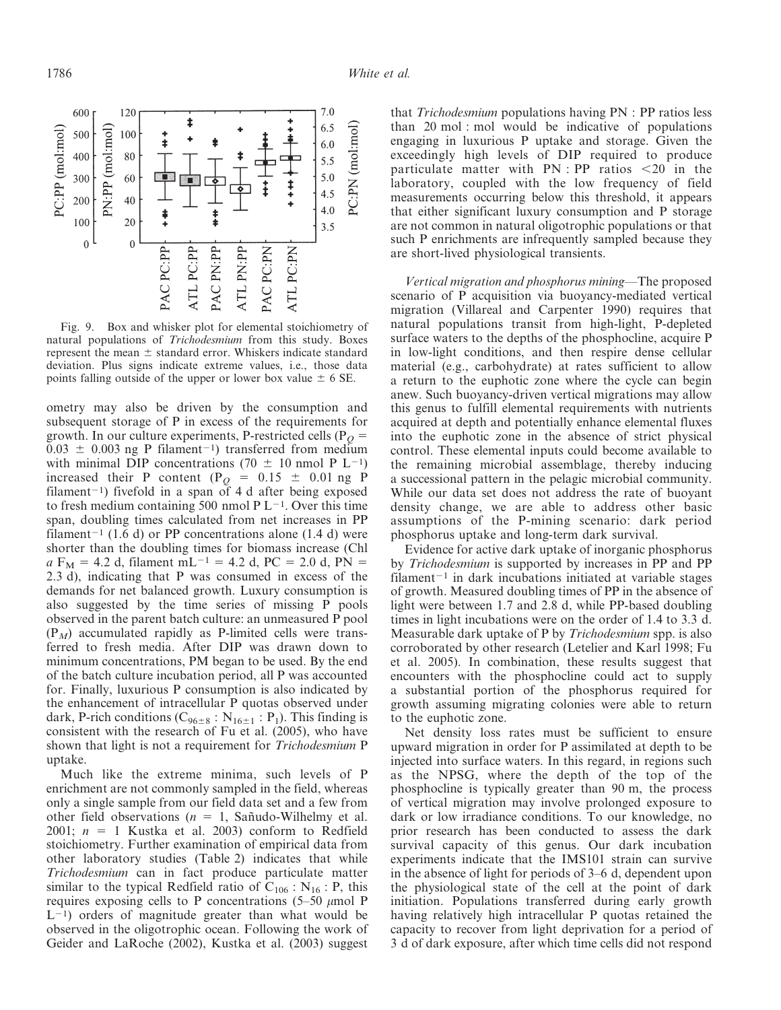

Fig. 9. Box and whisker plot for elemental stoichiometry of natural populations of Trichodesmium from this study. Boxes represent the mean  $\pm$  standard error. Whiskers indicate standard deviation. Plus signs indicate extreme values, i.e., those data points falling outside of the upper or lower box value  $\pm$  6 SE.

ometry may also be driven by the consumption and subsequent storage of P in excess of the requirements for growth. In our culture experiments, P-restricted cells ( $P_Q$  =  $0.03 \pm 0.003$  ng P filament<sup>-1</sup>) transferred from medium with minimal DIP concentrations (70  $\pm$  10 nmol P L<sup>-1</sup>) increased their P content ( $P_Q = 0.15 \pm 0.01$  ng P filament<sup>-1</sup>) fivefold in a span of 4 d after being exposed to fresh medium containing 500 nmol  $P L^{-1}$ . Over this time span, doubling times calculated from net increases in PP filament<sup>-1</sup> (1.6 d) or PP concentrations alone (1.4 d) were shorter than the doubling times for biomass increase (Chl  $a F<sub>M</sub> = 4.2$  d, filament mL<sup>-1</sup> = 4.2 d, PC = 2.0 d, PN = 2.3 d), indicating that P was consumed in excess of the demands for net balanced growth. Luxury consumption is also suggested by the time series of missing P pools observed in the parent batch culture: an unmeasured P pool  $(P_M)$  accumulated rapidly as P-limited cells were transferred to fresh media. After DIP was drawn down to minimum concentrations, PM began to be used. By the end of the batch culture incubation period, all P was accounted for. Finally, luxurious P consumption is also indicated by the enhancement of intracellular P quotas observed under dark, P-rich conditions ( $C_{96\pm8}$ : N<sub>16±1</sub>: P<sub>1</sub>). This finding is consistent with the research of Fu et al.  $(2005)$ , who have shown that light is not a requirement for Trichodesmium P uptake.

Much like the extreme minima, such levels of P enrichment are not commonly sampled in the field, whereas only a single sample from our field data set and a few from other field observations ( $n = 1$ , Sañ udo-Wilhelmy et al. 2001;  $n = 1$  Kustka et al. 2003) conform to Redfield stoichiometry. Further examination of empirical data from other laboratory studies (Table 2) indicates that while Trichodesmium can in fact produce particulate matter similar to the typical Redfield ratio of  $C_{106}$ : N<sub>16</sub>: P, this requires exposing cells to P concentrations  $(5-50 \mu mol)$  P  $L^{-1}$ ) orders of magnitude greater than what would be observed in the oligotrophic ocean. Following the work of Geider and LaRoche (2002), Kustka et al. (2003) suggest

that Trichodesmium populations having PN : PP ratios less than 20 mol : mol would be indicative of populations engaging in luxurious P uptake and storage. Given the exceedingly high levels of DIP required to produce particulate matter with  $PN : PP$  ratios  $\leq 20$  in the laboratory, coupled with the low frequency of field measurements occurring below this threshold, it appears that either significant luxury consumption and P storage are not common in natural oligotrophic populations or that such P enrichments are infrequently sampled because they are short-lived physiological transients.

Vertical migration and phosphorus mining—The proposed scenario of P acquisition via buoyancy-mediated vertical migration (Villareal and Carpenter 1990) requires that natural populations transit from high-light, P-depleted surface waters to the depths of the phosphocline, acquire P in low-light conditions, and then respire dense cellular material (e.g., carbohydrate) at rates sufficient to allow a return to the euphotic zone where the cycle can begin anew. Such buoyancy-driven vertical migrations may allow this genus to fulfill elemental requirements with nutrients acquired at depth and potentially enhance elemental fluxes into the euphotic zone in the absence of strict physical control. These elemental inputs could become available to the remaining microbial assemblage, thereby inducing a successional pattern in the pelagic microbial community. While our data set does not address the rate of buoyant density change, we are able to address other basic assumptions of the P-mining scenario: dark period phosphorus uptake and long-term dark survival.

Evidence for active dark uptake of inorganic phosphorus by Trichodesmium is supported by increases in PP and PP filament<sup> $-1$ </sup> in dark incubations initiated at variable stages of growth. Measured doubling times of PP in the absence of light were between 1.7 and 2.8 d, while PP-based doubling times in light incubations were on the order of 1.4 to 3.3 d. Measurable dark uptake of P by Trichodesmium spp. is also corroborated by other research (Letelier and Karl 1998; Fu et al. 2005). In combination, these results suggest that encounters with the phosphocline could act to supply a substantial portion of the phosphorus required for growth assuming migrating colonies were able to return to the euphotic zone.

Net density loss rates must be sufficient to ensure upward migration in order for P assimilated at depth to be injected into surface waters. In this regard, in regions such as the NPSG, where the depth of the top of the phosphocline is typically greater than 90 m, the process of vertical migration may involve prolonged exposure to dark or low irradiance conditions. To our knowledge, no prior research has been conducted to assess the dark survival capacity of this genus. Our dark incubation experiments indicate that the IMS101 strain can survive in the absence of light for periods of 3–6 d, dependent upon the physiological state of the cell at the point of dark initiation. Populations transferred during early growth having relatively high intracellular P quotas retained the capacity to recover from light deprivation for a period of 3 d of dark exposure, after which time cells did not respond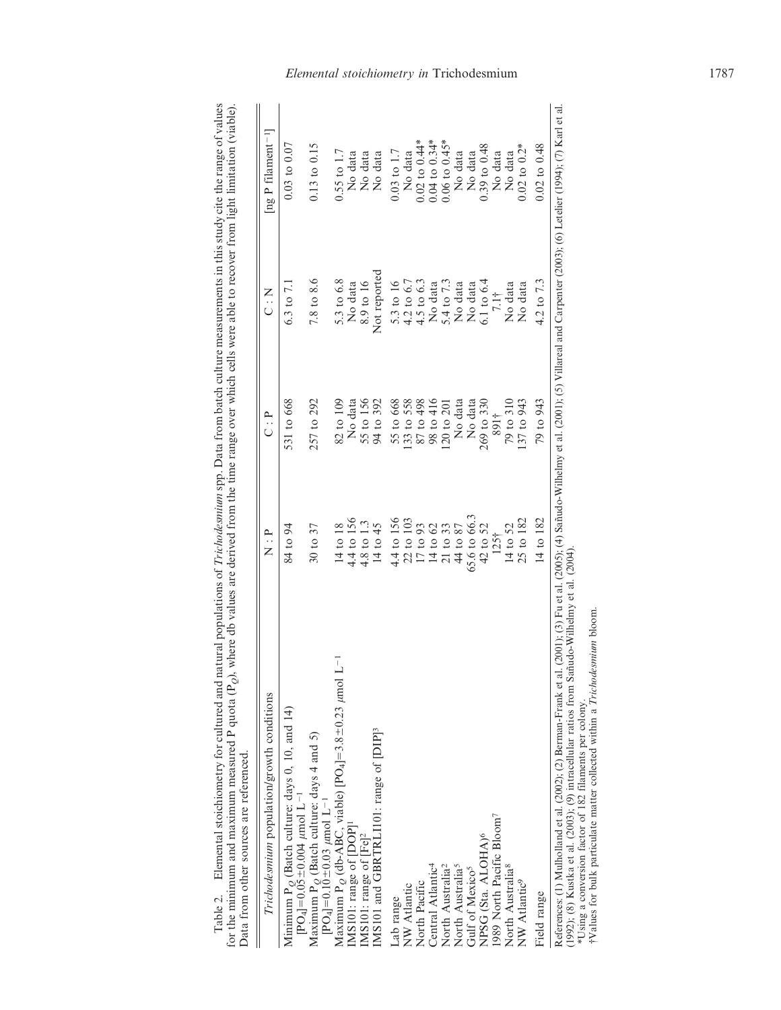| Trichodesmium population/growth conditions                                                                                                                                                                 | a<br>Z              | $\frac{P}{C}$  | Ζ<br>こ                | [ $ng P$ filament $^{-1}$ ] |
|------------------------------------------------------------------------------------------------------------------------------------------------------------------------------------------------------------|---------------------|----------------|-----------------------|-----------------------------|
| Minimum $PO$ (Batch culture: days 0, 10, and 14)<br>$[PO_4] = 0.05 \pm 0.004 \ \mu \text{mol} \ L^{-1}$                                                                                                    | 84 to 94            | 531 to 668     | $6.3 \text{ to } 7.1$ | $0.03 \text{ to } 0.07$     |
| Maximum $P_Q$ (Batch culture: days 4 and 5)<br>[PO <sub>4</sub> ]=0.10±0.03 µmol L <sup>-1</sup>                                                                                                           | $30 \text{ to } 37$ | 257 to 292     | 7.8 to 8.6            | $0.13$ to $0.15$            |
| Maximum P <sub>Q</sub> (db-ABC, viable) [PO <sub>4</sub> ]=3.8±0.23 $\mu$ mol L <sup>-1</sup>                                                                                                              | 14 to 18            | 82 to 109      | 5.3 to 6.8            | $0.55$ to $1.7$             |
| MS101: range of [DOP]1                                                                                                                                                                                     | 4.4 to 156          | No data        | No data               | No data                     |
| MS101: range of [Fe] <sup>2</sup>                                                                                                                                                                          | 4.8 to 1.3          | 55 to 156      | 8.9 to 16             | No data                     |
| IMS101 and GBRTRLI101: range of [DIP] <sup>3</sup>                                                                                                                                                         | 14 to 45            | 94 to 392      | Not reported          | No data                     |
| Lab range                                                                                                                                                                                                  | 4.4 to 156          | 55 to 668      | 5.3 to 16             | $0.03 \text{ to } 1.7$      |
| NW Atlantic                                                                                                                                                                                                | $22$ to $103$       | 33 to 558      | 4.2 to 6.7            | No data                     |
| North Pacific                                                                                                                                                                                              | 17 to 93            | 87 to 498      | $4.5 \text{ to } 6.3$ | $0.02 \text{ to } 0.44*$    |
| Central Atlantic <sup>4</sup>                                                                                                                                                                              | 14 to 62            | 98 to 416      | No data               | $0.04 \text{ to } 0.34*$    |
| North Australia <sup>2</sup>                                                                                                                                                                               | $21$ to $33$        | (20 to 20)     | 5.4 to 7.3            | $0.06 \text{ to } 0.45*$    |
| North Australia <sup>5</sup>                                                                                                                                                                               | 44 to 87            | No data        | No data               | No data                     |
| <b>Gulf of Mexico<sup>5</sup></b>                                                                                                                                                                          | 65.6 to 66.3        | No data        | No data               | No data                     |
| NPSG (Sta. ALOHA) <sup>6</sup>                                                                                                                                                                             | 42 to 52            | $269$ to $330$ | $6.1 \text{ to } 6.4$ | $0.39$ to $0.48$            |
| 989 North Pacific Bloom <sup>7</sup>                                                                                                                                                                       | 125†                | 891†           | 7.1 <sup>1</sup>      | No data                     |
| North Australia <sup>8</sup>                                                                                                                                                                               | 14 to 52            | 79 to 310      | No data               | No data                     |
| NW Atlantic <sup>9</sup>                                                                                                                                                                                   | 25 to 182           | $137$ to 943   | No data               | $0.02 \text{ to } 0.2^*$    |
| Field range                                                                                                                                                                                                | 14 to 182           | 79 to 943      | 4.2 to 7.3            | $0.02 \text{ to } 0.48$     |
| References: (1) Mulholland et al. (2002); (2) Berman-Frank et al. (2001); (3) Fu et al. (2005); (4) Sanudo-Wilhelmy et al. (2001); (5) Villareal and Carpenter (2003); (6) Letelier (1994); (7) Karl et al |                     |                |                       |                             |

# (1992); (8) Kustka et al. (2003); (9) intracellular ratios from Sañudo-Wilhelmy et al. (2004).<br>\*Using a conversion factor of 182 filaments per colony.<br>†Values for bulk particulate matter collected within a *Trichodesmium* (1992); (8) Kustka et al. (2003); (9) intracellular ratios from San˜ udo-Wilhelmy et al. (2004).

\*Using a conversion factor of 182 filaments per colony. {Values for bulk particulate matter collected within a Trichodesmium bloom.

Elemental stoichiometry in Trichodesmium 1787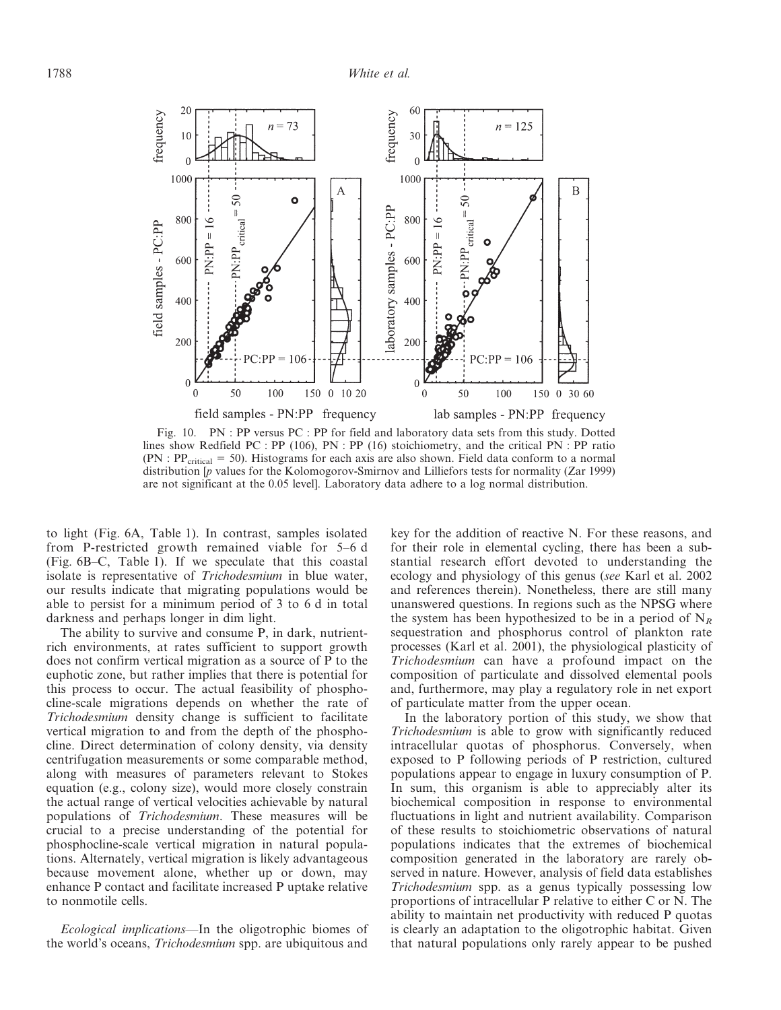

Fig. 10. PN : PP versus PC : PP for field and laboratory data sets from this study. Dotted lines show Redfield PC : PP (106), PN : PP (16) stoichiometry, and the critical PN : PP ratio  $(PN : PP_{critical} = 50)$ . Histograms for each axis are also shown. Field data conform to a normal distribution [p values for the Kolomogorov-Smirnov and Lilliefors tests for normality (Zar 1999) are not significant at the 0.05 level]. Laboratory data adhere to a log normal distribution.

to light (Fig. 6A, Table 1). In contrast, samples isolated from P-restricted growth remained viable for 5–6 d (Fig. 6B–C, Table 1). If we speculate that this coastal isolate is representative of Trichodesmium in blue water, our results indicate that migrating populations would be able to persist for a minimum period of 3 to 6 d in total darkness and perhaps longer in dim light.

The ability to survive and consume P, in dark, nutrientrich environments, at rates sufficient to support growth does not confirm vertical migration as a source of P to the euphotic zone, but rather implies that there is potential for this process to occur. The actual feasibility of phosphocline-scale migrations depends on whether the rate of Trichodesmium density change is sufficient to facilitate vertical migration to and from the depth of the phosphocline. Direct determination of colony density, via density centrifugation measurements or some comparable method, along with measures of parameters relevant to Stokes equation (e.g., colony size), would more closely constrain the actual range of vertical velocities achievable by natural populations of Trichodesmium. These measures will be crucial to a precise understanding of the potential for phosphocline-scale vertical migration in natural populations. Alternately, vertical migration is likely advantageous because movement alone, whether up or down, may enhance P contact and facilitate increased P uptake relative to nonmotile cells.

Ecological implications—In the oligotrophic biomes of the world's oceans, Trichodesmium spp. are ubiquitous and

key for the addition of reactive N. For these reasons, and for their role in elemental cycling, there has been a substantial research effort devoted to understanding the ecology and physiology of this genus (see Karl et al. 2002 and references therein). Nonetheless, there are still many unanswered questions. In regions such as the NPSG where the system has been hypothesized to be in a period of  $N_R$ sequestration and phosphorus control of plankton rate processes (Karl et al. 2001), the physiological plasticity of Trichodesmium can have a profound impact on the composition of particulate and dissolved elemental pools and, furthermore, may play a regulatory role in net export of particulate matter from the upper ocean.

In the laboratory portion of this study, we show that Trichodesmium is able to grow with significantly reduced intracellular quotas of phosphorus. Conversely, when exposed to P following periods of P restriction, cultured populations appear to engage in luxury consumption of P. In sum, this organism is able to appreciably alter its biochemical composition in response to environmental fluctuations in light and nutrient availability. Comparison of these results to stoichiometric observations of natural populations indicates that the extremes of biochemical composition generated in the laboratory are rarely observed in nature. However, analysis of field data establishes Trichodesmium spp. as a genus typically possessing low proportions of intracellular P relative to either C or N. The ability to maintain net productivity with reduced P quotas is clearly an adaptation to the oligotrophic habitat. Given that natural populations only rarely appear to be pushed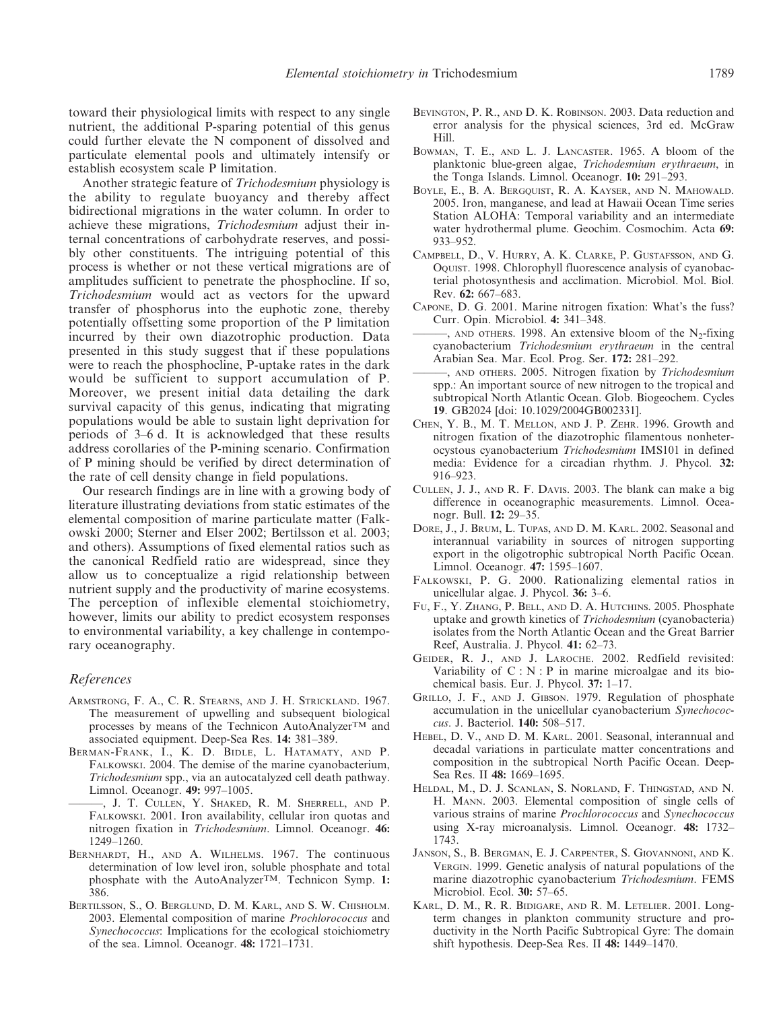toward their physiological limits with respect to any single nutrient, the additional P-sparing potential of this genus could further elevate the N component of dissolved and particulate elemental pools and ultimately intensify or establish ecosystem scale P limitation.

Another strategic feature of Trichodesmium physiology is the ability to regulate buoyancy and thereby affect bidirectional migrations in the water column. In order to achieve these migrations, Trichodesmium adjust their internal concentrations of carbohydrate reserves, and possibly other constituents. The intriguing potential of this process is whether or not these vertical migrations are of amplitudes sufficient to penetrate the phosphocline. If so, Trichodesmium would act as vectors for the upward transfer of phosphorus into the euphotic zone, thereby potentially offsetting some proportion of the P limitation incurred by their own diazotrophic production. Data presented in this study suggest that if these populations were to reach the phosphocline, P-uptake rates in the dark would be sufficient to support accumulation of P. Moreover, we present initial data detailing the dark survival capacity of this genus, indicating that migrating populations would be able to sustain light deprivation for periods of 3–6 d. It is acknowledged that these results address corollaries of the P-mining scenario. Confirmation of P mining should be verified by direct determination of the rate of cell density change in field populations.

Our research findings are in line with a growing body of literature illustrating deviations from static estimates of the elemental composition of marine particulate matter (Falkowski 2000; Sterner and Elser 2002; Bertilsson et al. 2003; and others). Assumptions of fixed elemental ratios such as the canonical Redfield ratio are widespread, since they allow us to conceptualize a rigid relationship between nutrient supply and the productivity of marine ecosystems. The perception of inflexible elemental stoichiometry, however, limits our ability to predict ecosystem responses to environmental variability, a key challenge in contemporary oceanography.

### References

- ARMSTRONG, F. A., C. R. STEARNS, AND J. H. STRICKLAND. 1967. The measurement of upwelling and subsequent biological processes by means of the Technicon AutoAnalyzerTM and associated equipment. Deep-Sea Res. 14: 381–389.
- BERMAN-FRANK, I., K. D. BIDLE, L. HATAMATY, AND P. FALKOWSKI. 2004. The demise of the marine cyanobacterium, Trichodesmium spp., via an autocatalyzed cell death pathway. Limnol. Oceanogr. 49: 997–1005.
	- ———, J. T. CULLEN, Y. SHAKED, R. M. SHERRELL, AND P. FALKOWSKI. 2001. Iron availability, cellular iron quotas and nitrogen fixation in Trichodesmium. Limnol. Oceanogr. 46: 1249–1260.
- BERNHARDT, H., AND A. WILHELMS. 1967. The continuous determination of low level iron, soluble phosphate and total phosphate with the AutoAnalyzerTM. Technicon Symp. 1: 386.
- BERTILSSON, S., O. BERGLUND, D. M. KARL, AND S. W. CHISHOLM. 2003. Elemental composition of marine Prochlorococcus and Synechococcus: Implications for the ecological stoichiometry of the sea. Limnol. Oceanogr. 48: 1721–1731.
- BEVINGTON, P. R., AND D. K. ROBINSON. 2003. Data reduction and error analysis for the physical sciences, 3rd ed. McGraw Hill.
- BOWMAN, T. E., AND L. J. LANCASTER. 1965. A bloom of the planktonic blue-green algae, Trichodesmium erythraeum, in the Tonga Islands. Limnol. Oceanogr. 10: 291–293.
- BOYLE, E., B. A. BERGQUIST, R. A. KAYSER, AND N. MAHOWALD. 2005. Iron, manganese, and lead at Hawaii Ocean Time series Station ALOHA: Temporal variability and an intermediate water hydrothermal plume. Geochim. Cosmochim. Acta 69: 933–952.
- CAMPBELL, D., V. HURRY, A. K. CLARKE, P. GUSTAFSSON, AND G. OQUIST. 1998. Chlorophyll fluorescence analysis of cyanobacterial photosynthesis and acclimation. Microbiol. Mol. Biol. Rev. 62: 667–683.
- CAPONE, D. G. 2001. Marine nitrogen fixation: What's the fuss? Curr. Opin. Microbiol. 4: 341–348.
- $-$ , AND OTHERS. 1998. An extensive bloom of the N<sub>2</sub>-fixing cyanobacterium Trichodesmium erythraeum in the central Arabian Sea. Mar. Ecol. Prog. Ser. 172: 281–292.
- -, AND OTHERS. 2005. Nitrogen fixation by Trichodesmium spp.: An important source of new nitrogen to the tropical and subtropical North Atlantic Ocean. Glob. Biogeochem. Cycles 19. GB2024 [doi: 10.1029/2004GB002331].
- CHEN, Y. B., M. T. MELLON, AND J. P. ZEHR. 1996. Growth and nitrogen fixation of the diazotrophic filamentous nonheterocystous cyanobacterium Trichodesmium IMS101 in defined media: Evidence for a circadian rhythm. J. Phycol. 32: 916–923.
- CULLEN, J. J., AND R. F. DAVIS. 2003. The blank can make a big difference in oceanographic measurements. Limnol. Oceanogr. Bull. 12: 29–35.
- DORE, J., J. BRUM, L. TUPAS, AND D. M. KARL. 2002. Seasonal and interannual variability in sources of nitrogen supporting export in the oligotrophic subtropical North Pacific Ocean. Limnol. Oceanogr. 47: 1595–1607.
- FALKOWSKI, P. G. 2000. Rationalizing elemental ratios in unicellular algae. J. Phycol. 36: 3–6.
- FU, F., Y. ZHANG, P. BELL, AND D. A. HUTCHINS. 2005. Phosphate uptake and growth kinetics of Trichodesmium (cyanobacteria) isolates from the North Atlantic Ocean and the Great Barrier Reef, Australia. J. Phycol. 41: 62–73.
- GEIDER, R. J., AND J. LAROCHE. 2002. Redfield revisited: Variability of  $C : N : P$  in marine microalgae and its biochemical basis. Eur. J. Phycol. 37: 1–17.
- GRILLO, J. F., AND J. GIBSON. 1979. Regulation of phosphate accumulation in the unicellular cyanobacterium Synechococcus. J. Bacteriol. 140: 508–517.
- HEBEL, D. V., AND D. M. KARL. 2001. Seasonal, interannual and decadal variations in particulate matter concentrations and composition in the subtropical North Pacific Ocean. Deep-Sea Res. II 48: 1669–1695.
- HELDAL, M., D. J. SCANLAN, S. NORLAND, F. THINGSTAD, AND N. H. MANN. 2003. Elemental composition of single cells of various strains of marine Prochlorococcus and Synechococcus using X-ray microanalysis. Limnol. Oceanogr. 48: 1732– 1743.
- JANSON, S., B. BERGMAN, E. J. CARPENTER, S. GIOVANNONI, AND K. VERGIN. 1999. Genetic analysis of natural populations of the marine diazotrophic cyanobacterium Trichodesmium. FEMS Microbiol. Ecol. 30: 57–65.
- KARL, D. M., R. R. BIDIGARE, AND R. M. LETELIER. 2001. Longterm changes in plankton community structure and productivity in the North Pacific Subtropical Gyre: The domain shift hypothesis. Deep-Sea Res. II 48: 1449–1470.